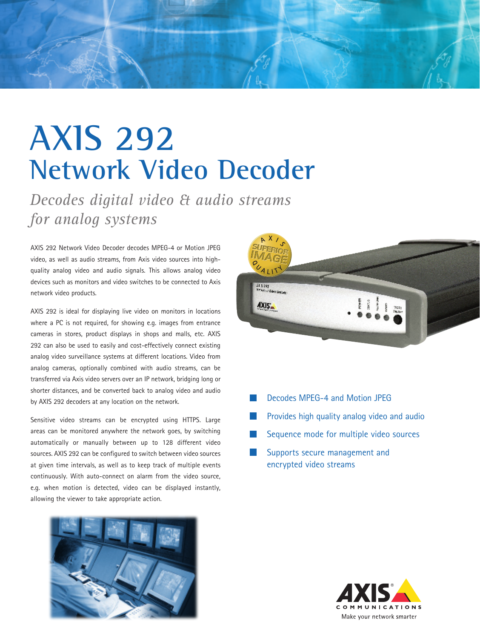# **AXIS 292 Network Video Decoder**

*Decodes digital video & audio streams for analog systems*

AXIS 292 Network Video Decoder decodes MPEG-4 or Motion JPEG video, as well as audio streams, from Axis video sources into highquality analog video and audio signals. This allows analog video devices such as monitors and video switches to be connected to Axis network video products.

AXIS 292 is ideal for displaying live video on monitors in locations where a PC is not required, for showing e.g. images from entrance cameras in stores, product displays in shops and malls, etc. AXIS 292 can also be used to easily and cost-effectively connect existing analog video surveillance systems at different locations. Video from analog cameras, optionally combined with audio streams, can be transferred via Axis video servers over an IP network, bridging long or shorter distances, and be converted back to analog video and audio by AXIS 292 decoders at any location on the network.

Sensitive video streams can be encrypted using HTTPS. Large areas can be monitored anywhere the network goes, by switching automatically or manually between up to 128 different video sources. AXIS 292 can be configured to switch between video sources at given time intervals, as well as to keep track of multiple events continuously. With auto-connect on alarm from the video source, e.g. when motion is detected, video can be displayed instantly, allowing the viewer to take appropriate action.





- **Decodes MPEG-4 and Motion JPEG**
- **Provides high quality analog video and audio**
- Sequence mode for multiple video sources
- Supports secure management and encrypted video streams